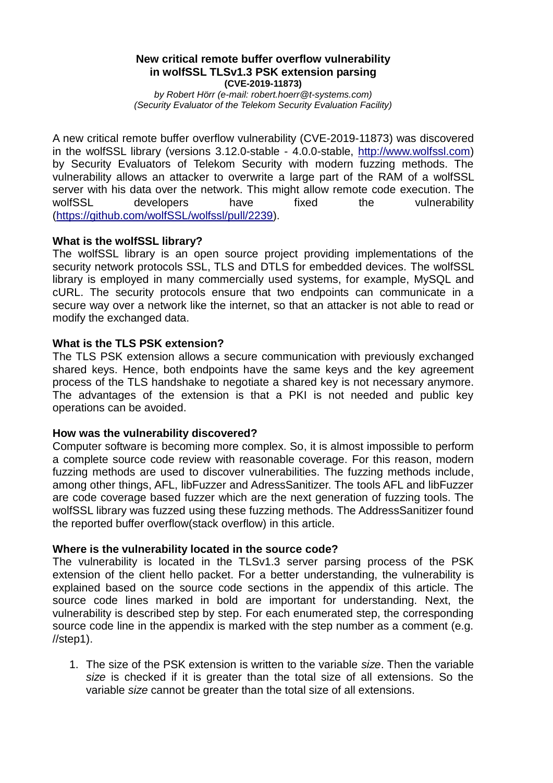### **New critical remote buffer overflow vulnerability in wolfSSL TLSv1.3 PSK extension parsing (CVE-2019-11873)**

*by Robert Hörr (e-mail: robert.hoerr@t-systems.com) (Security Evaluator of the Telekom Security Evaluation Facility)*

A new critical remote buffer overflow vulnerability (CVE-2019-11873) was discovered in the wolfSSL library (versions 3.12.0-stable - 4.0.0-stable, [http://www.wolfssl.com\)](http://www.wolfssl.com/) by Security Evaluators of Telekom Security with modern fuzzing methods. The vulnerability allows an attacker to overwrite a large part of the RAM of a wolfSSL server with his data over the network. This might allow remote code execution. The wolfSSL developers have fixed the vulnerability [\(https://github.com/wolfSSL/wolfssl/pull/2239\)](https://github.com/wolfSSL/wolfssl/pull/2239).

# **What is the wolfSSL library?**

The wolfSSL library is an open source project providing implementations of the security network protocols SSL, TLS and DTLS for embedded devices. The wolfSSL library is employed in many commercially used systems, for example, MySQL and cURL. The security protocols ensure that two endpoints can communicate in a secure way over a network like the internet, so that an attacker is not able to read or modify the exchanged data.

## **What is the TLS PSK extension?**

The TLS PSK extension allows a secure communication with previously exchanged shared keys. Hence, both endpoints have the same keys and the key agreement process of the TLS handshake to negotiate a shared key is not necessary anymore. The advantages of the extension is that a PKI is not needed and public key operations can be avoided.

# **How was the vulnerability discovered?**

Computer software is becoming more complex. So, it is almost impossible to perform a complete source code review with reasonable coverage. For this reason, modern fuzzing methods are used to discover vulnerabilities. The fuzzing methods include, among other things, AFL, libFuzzer and AdressSanitizer. The tools AFL and libFuzzer are code coverage based fuzzer which are the next generation of fuzzing tools. The wolfSSL library was fuzzed using these fuzzing methods. The AddressSanitizer found the reported buffer overflow(stack overflow) in this article.

## **Where is the vulnerability located in the source code?**

The vulnerability is located in the TLSv1.3 server parsing process of the PSK extension of the client hello packet. For a better understanding, the vulnerability is explained based on the source code sections in the appendix of this article. The source code lines marked in bold are important for understanding. Next, the vulnerability is described step by step. For each enumerated step, the corresponding source code line in the appendix is marked with the step number as a comment (e.g.  $//$ step1).

1. The size of the PSK extension is written to the variable *size*. Then the variable *size* is checked if it is greater than the total size of all extensions. So the variable *size* cannot be greater than the total size of all extensions.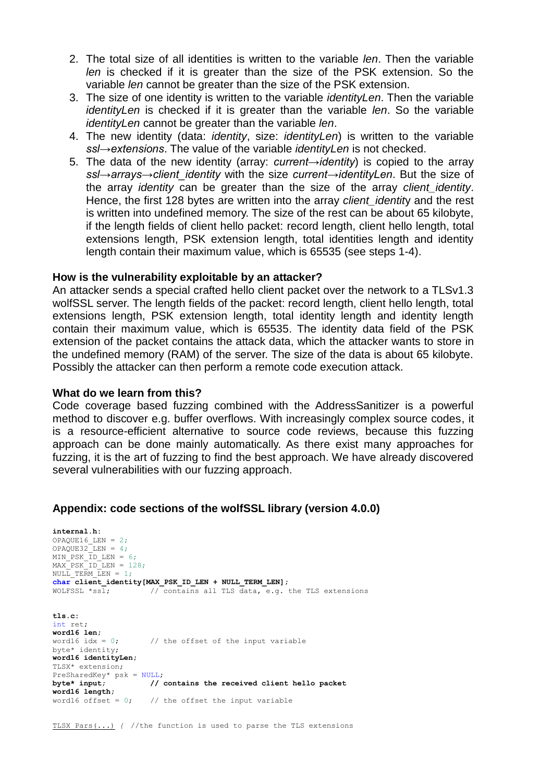- 2. The total size of all identities is written to the variable *len*. Then the variable *len* is checked if it is greater than the size of the PSK extension. So the variable *len* cannot be greater than the size of the PSK extension.
- 3. The size of one identity is written to the variable *identityLen*. Then the variable *identityLen* is checked if it is greater than the variable *len*. So the variable *identityLen* cannot be greater than the variable *len*.
- 4. The new identity (data: *identity*, size: *identityLen*) is written to the variable *ssl→extensions*. The value of the variable *identityLen* is not checked.
- 5. The data of the new identity (array: *current→identity*) is copied to the array *ssl→arrays→client\_identity* with the size *current→identityLen*. But the size of the array *identity* can be greater than the size of the array *client\_identity*. Hence, the first 128 bytes are written into the array *client\_identit*y and the rest is written into undefined memory. The size of the rest can be about 65 kilobyte, if the length fields of client hello packet: record length, client hello length, total extensions length, PSK extension length, total identities length and identity length contain their maximum value, which is 65535 (see steps 1-4).

## **How is the vulnerability exploitable by an attacker?**

An attacker sends a special crafted hello client packet over the network to a TLSv1.3 wolfSSL server. The length fields of the packet: record length, client hello length, total extensions length, PSK extension length, total identity length and identity length contain their maximum value, which is 65535. The identity data field of the PSK extension of the packet contains the attack data, which the attacker wants to store in the undefined memory (RAM) of the server. The size of the data is about 65 kilobyte. Possibly the attacker can then perform a remote code execution attack.

#### **What do we learn from this?**

Code coverage based fuzzing combined with the AddressSanitizer is a powerful method to discover e.g. buffer overflows. With increasingly complex source codes, it is a resource-efficient alternative to source code reviews, because this fuzzing approach can be done mainly automatically. As there exist many approaches for fuzzing, it is the art of fuzzing to find the best approach. We have already discovered several vulnerabilities with our fuzzing approach.

#### **Appendix: code sections of the wolfSSL library (version 4.0.0)**

**internal.h:** OPAQUE16\_LEN = 2; OPAQUE32 LEN =  $4$ ; MIN PSK  $\overline{ID}$  LEN = 6;  $MAX$  PSK ID LEN = 128; NULL TERM LEN =  $1;$ **char client identity[MAX\_PSK\_ID\_LEN + NULL\_TERM\_LEN]**; WOLFSSL \*ssl;  $\frac{1}{2}$  // contains all TLS data, e.g. the TLS extensions **tls.c:** int ret; **word16 len;**<br>word16 idx = 0; // the offset of the input variable byte\* identity; **word16 identityLen;** TLSX\* extension; PreSharedKey\* psk = NULL; **byte\* input; // contains the received client hello packet word16 length;** word16 offset =  $0$ ; // the offset the input variable

TLSX\_Pars(...) *{* //the function is used to parse the TLS extensions